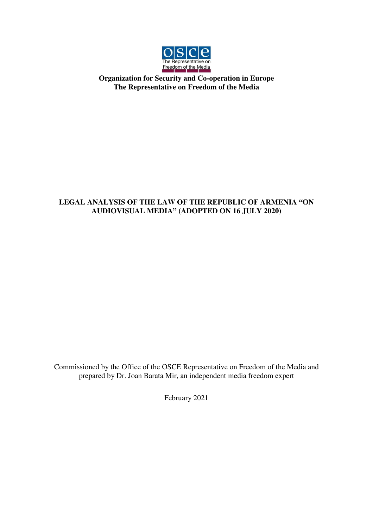

## **Organization for Security and Co-operation in Europe The Representative on Freedom of the Media**

## **LEGAL ANALYSIS OF THE LAW OF THE REPUBLIC OF ARMENIA "ON AUDIOVISUAL MEDIA" (ADOPTED ON 16 JULY 2020)**

Commissioned by the Office of the OSCE Representative on Freedom of the Media and prepared by Dr. Joan Barata Mir, an independent media freedom expert

February 2021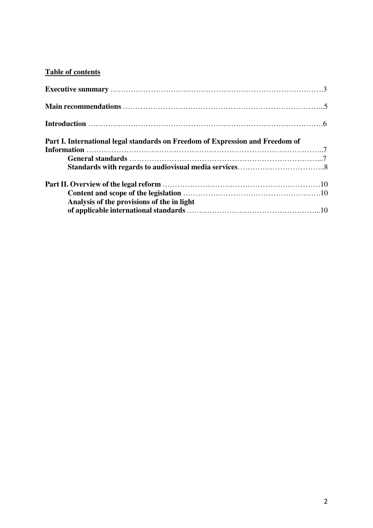# **Table of contents**

| Part I. International legal standards on Freedom of Expression and Freedom of |  |
|-------------------------------------------------------------------------------|--|
|                                                                               |  |
|                                                                               |  |
|                                                                               |  |
|                                                                               |  |
|                                                                               |  |
| Analysis of the provisions of the in light                                    |  |
|                                                                               |  |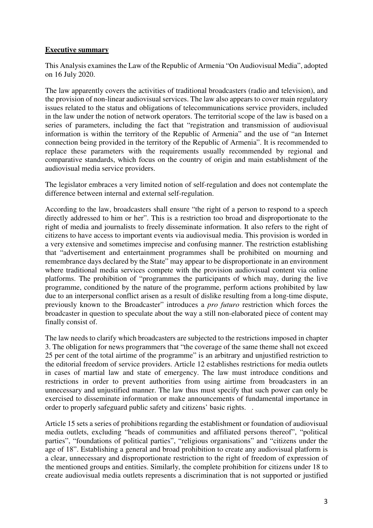### **Executive summary**

This Analysis examines the Law of the Republic of Armenia "On Audiovisual Media", adopted on 16 July 2020.

The law apparently covers the activities of traditional broadcasters (radio and television), and the provision of non-linear audiovisual services. The law also appears to cover main regulatory issues related to the status and obligations of telecommunications service providers, included in the law under the notion of network operators. The territorial scope of the law is based on a series of parameters, including the fact that "registration and transmission of audiovisual information is within the territory of the Republic of Armenia" and the use of "an Internet connection being provided in the territory of the Republic of Armenia". It is recommended to replace these parameters with the requirements usually recommended by regional and comparative standards, which focus on the country of origin and main establishment of the audiovisual media service providers.

The legislator embraces a very limited notion of self-regulation and does not contemplate the difference between internal and external self-regulation.

According to the law, broadcasters shall ensure "the right of a person to respond to a speech directly addressed to him or her". This is a restriction too broad and disproportionate to the right of media and journalists to freely disseminate information. It also refers to the right of citizens to have access to important events via audiovisual media. This provision is worded in a very extensive and sometimes imprecise and confusing manner. The restriction establishing that "advertisement and entertainment programmes shall be prohibited on mourning and remembrance days declared by the State" may appear to be disproportionate in an environment where traditional media services compete with the provision audiovisual content via online platforms. The prohibition of "programmes the participants of which may, during the live programme, conditioned by the nature of the programme, perform actions prohibited by law due to an interpersonal conflict arisen as a result of dislike resulting from a long-time dispute, previously known to the Broadcaster" introduces a *pro futuro* restriction which forces the broadcaster in question to speculate about the way a still non-elaborated piece of content may finally consist of.

The law needs to clarify which broadcasters are subjected to the restrictions imposed in chapter 3. The obligation for news programmers that "the coverage of the same theme shall not exceed 25 per cent of the total airtime of the programme" is an arbitrary and unjustified restriction to the editorial freedom of service providers. Article 12 establishes restrictions for media outlets in cases of martial law and state of emergency. The law must introduce conditions and restrictions in order to prevent authorities from using airtime from broadcasters in an unnecessary and unjustified manner. The law thus must specify that such power can only be exercised to disseminate information or make announcements of fundamental importance in order to properly safeguard public safety and citizens' basic rights. .

Article 15 sets a series of prohibitions regarding the establishment or foundation of audiovisual media outlets, excluding "heads of communities and affiliated persons thereof", "political parties", "foundations of political parties", "religious organisations" and "citizens under the age of 18". Establishing a general and broad prohibition to create any audiovisual platform is a clear, unnecessary and disproportionate restriction to the right of freedom of expression of the mentioned groups and entities. Similarly, the complete prohibition for citizens under 18 to create audiovisual media outlets represents a discrimination that is not supported or justified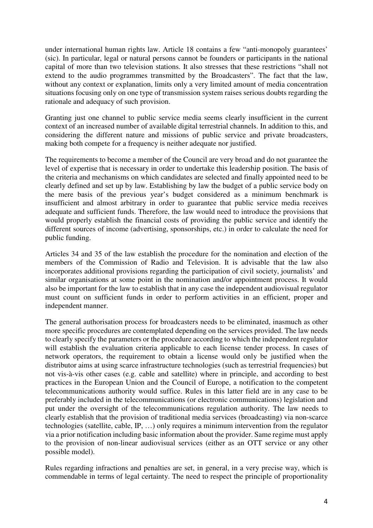under international human rights law. Article 18 contains a few "anti-monopoly guarantees' (sic). In particular, legal or natural persons cannot be founders or participants in the national capital of more than two television stations. It also stresses that these restrictions "shall not extend to the audio programmes transmitted by the Broadcasters". The fact that the law, without any context or explanation, limits only a very limited amount of media concentration situations focusing only on one type of transmission system raises serious doubts regarding the rationale and adequacy of such provision.

Granting just one channel to public service media seems clearly insufficient in the current context of an increased number of available digital terrestrial channels. In addition to this, and considering the different nature and missions of public service and private broadcasters, making both compete for a frequency is neither adequate nor justified.

The requirements to become a member of the Council are very broad and do not guarantee the level of expertise that is necessary in order to undertake this leadership position. The basis of the criteria and mechanisms on which candidates are selected and finally appointed need to be clearly defined and set up by law. Establishing by law the budget of a public service body on the mere basis of the previous year's budget considered as a minimum benchmark is insufficient and almost arbitrary in order to guarantee that public service media receives adequate and sufficient funds. Therefore, the law would need to introduce the provisions that would properly establish the financial costs of providing the public service and identify the different sources of income (advertising, sponsorships, etc.) in order to calculate the need for public funding.

Articles 34 and 35 of the law establish the procedure for the nomination and election of the members of the Commission of Radio and Television. It is advisable that the law also incorporates additional provisions regarding the participation of civil society, journalists' and similar organisations at some point in the nomination and/or appointment process. It would also be important for the law to establish that in any case the independent audiovisual regulator must count on sufficient funds in order to perform activities in an efficient, proper and independent manner.

The general authorisation process for broadcasters needs to be eliminated, inasmuch as other more specific procedures are contemplated depending on the services provided. The law needs to clearly specify the parameters or the procedure according to which the independent regulator will establish the evaluation criteria applicable to each license tender process. In cases of network operators, the requirement to obtain a license would only be justified when the distributor aims at using scarce infrastructure technologies (such as terrestrial frequencies) but not vis-à-vis other cases (e.g. cable and satellite) where in principle, and according to best practices in the European Union and the Council of Europe, a notification to the competent telecommunications authority would suffice. Rules in this latter field are in any case to be preferably included in the telecommunications (or electronic communications) legislation and put under the oversight of the telecommunications regulation authority. The law needs to clearly establish that the provision of traditional media services (broadcasting) via non-scarce technologies (satellite, cable, IP, …) only requires a minimum intervention from the regulator via a prior notification including basic information about the provider. Same regime must apply to the provision of non-linear audiovisual services (either as an OTT service or any other possible model).

Rules regarding infractions and penalties are set, in general, in a very precise way, which is commendable in terms of legal certainty. The need to respect the principle of proportionality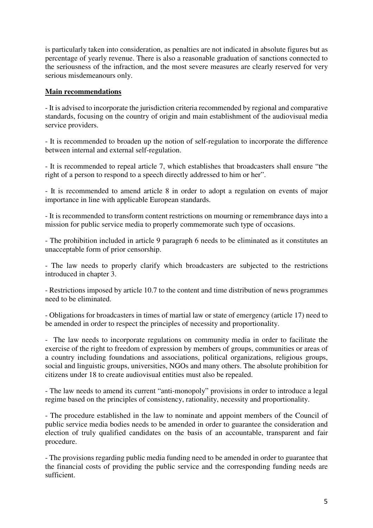is particularly taken into consideration, as penalties are not indicated in absolute figures but as percentage of yearly revenue. There is also a reasonable graduation of sanctions connected to the seriousness of the infraction, and the most severe measures are clearly reserved for very serious misdemeanours only.

#### **Main recommendations**

- It is advised to incorporate the jurisdiction criteria recommended by regional and comparative standards, focusing on the country of origin and main establishment of the audiovisual media service providers.

- It is recommended to broaden up the notion of self-regulation to incorporate the difference between internal and external self-regulation.

- It is recommended to repeal article 7, which establishes that broadcasters shall ensure "the right of a person to respond to a speech directly addressed to him or her".

- It is recommended to amend article 8 in order to adopt a regulation on events of major importance in line with applicable European standards.

- It is recommended to transform content restrictions on mourning or remembrance days into a mission for public service media to properly commemorate such type of occasions.

- The prohibition included in article 9 paragraph 6 needs to be eliminated as it constitutes an unacceptable form of prior censorship.

- The law needs to properly clarify which broadcasters are subjected to the restrictions introduced in chapter 3.

- Restrictions imposed by article 10.7 to the content and time distribution of news programmes need to be eliminated.

- Obligations for broadcasters in times of martial law or state of emergency (article 17) need to be amended in order to respect the principles of necessity and proportionality.

- The law needs to incorporate regulations on community media in order to facilitate the exercise of the right to freedom of expression by members of groups, communities or areas of a country including foundations and associations, political organizations, religious groups, social and linguistic groups, universities, NGOs and many others. The absolute prohibition for citizens under 18 to create audiovisual entities must also be repealed.

- The law needs to amend its current "anti-monopoly" provisions in order to introduce a legal regime based on the principles of consistency, rationality, necessity and proportionality.

- The procedure established in the law to nominate and appoint members of the Council of public service media bodies needs to be amended in order to guarantee the consideration and election of truly qualified candidates on the basis of an accountable, transparent and fair procedure.

- The provisions regarding public media funding need to be amended in order to guarantee that the financial costs of providing the public service and the corresponding funding needs are sufficient.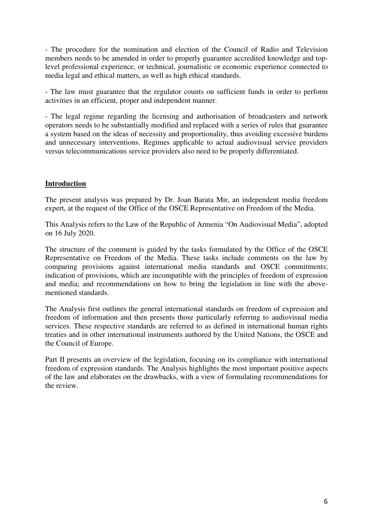- The procedure for the nomination and election of the Council of Radio and Television members needs to be amended in order to properly guarantee accredited knowledge and toplevel professional experience, or technical, journalistic or economic experience connected to media legal and ethical matters, as well as high ethical standards.

- The law must guarantee that the regulator counts on sufficient funds in order to perform activities in an efficient, proper and independent manner.

- The legal regime regarding the licensing and authorisation of broadcasters and network operators needs to be substantially modified and replaced with a series of rules that guarantee a system based on the ideas of necessity and proportionality, thus avoiding excessive burdens and unnecessary interventions. Regimes applicable to actual audiovisual service providers versus telecommunications service providers also need to be properly differentiated.

## **Introduction**

The present analysis was prepared by Dr. Joan Barata Mir, an independent media freedom expert, at the request of the Office of the OSCE Representative on Freedom of the Media.

This Analysis refers to the Law of the Republic of Armenia "On Audiovisual Media", adopted on 16 July 2020.

The structure of the comment is guided by the tasks formulated by the Office of the OSCE Representative on Freedom of the Media. These tasks include comments on the law by comparing provisions against international media standards and OSCE commitments; indication of provisions, which are incompatible with the principles of freedom of expression and media; and recommendations on how to bring the legislation in line with the abovementioned standards.

The Analysis first outlines the general international standards on freedom of expression and freedom of information and then presents those particularly referring to audiovisual media services. These respective standards are referred to as defined in international human rights treaties and in other international instruments authored by the United Nations, the OSCE and the Council of Europe.

Part II presents an overview of the legislation, focusing on its compliance with international freedom of expression standards. The Analysis highlights the most important positive aspects of the law and elaborates on the drawbacks, with a view of formulating recommendations for the review.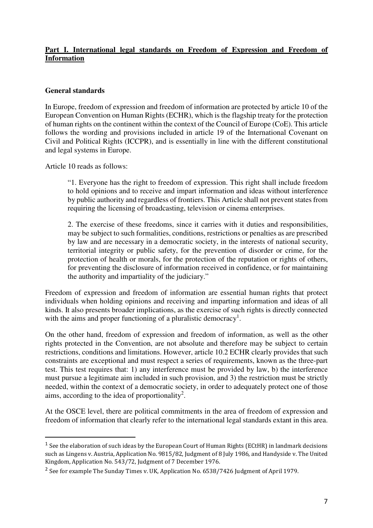## **Part I. International legal standards on Freedom of Expression and Freedom of Information**

### **General standards**

In Europe, freedom of expression and freedom of information are protected by article 10 of the European Convention on Human Rights (ECHR), which is the flagship treaty for the protection of human rights on the continent within the context of the Council of Europe (CoE). This article follows the wording and provisions included in article 19 of the International Covenant on Civil and Political Rights (ICCPR), and is essentially in line with the different constitutional and legal systems in Europe.

Article 10 reads as follows:

 $\overline{a}$ 

"1. Everyone has the right to freedom of expression. This right shall include freedom to hold opinions and to receive and impart information and ideas without interference by public authority and regardless of frontiers. This Article shall not prevent states from requiring the licensing of broadcasting, television or cinema enterprises.

2. The exercise of these freedoms, since it carries with it duties and responsibilities, may be subject to such formalities, conditions, restrictions or penalties as are prescribed by law and are necessary in a democratic society, in the interests of national security, territorial integrity or public safety, for the prevention of disorder or crime, for the protection of health or morals, for the protection of the reputation or rights of others, for preventing the disclosure of information received in confidence, or for maintaining the authority and impartiality of the judiciary."

Freedom of expression and freedom of information are essential human rights that protect individuals when holding opinions and receiving and imparting information and ideas of all kinds. It also presents broader implications, as the exercise of such rights is directly connected with the aims and proper functioning of a pluralistic democracy<sup>1</sup>.

On the other hand, freedom of expression and freedom of information, as well as the other rights protected in the Convention, are not absolute and therefore may be subject to certain restrictions, conditions and limitations. However, article 10.2 ECHR clearly provides that such constraints are exceptional and must respect a series of requirements, known as the three-part test. This test requires that: 1) any interference must be provided by law, b) the interference must pursue a legitimate aim included in such provision, and 3) the restriction must be strictly needed, within the context of a democratic society, in order to adequately protect one of those aims, according to the idea of proportionality<sup>2</sup>.

At the OSCE level, there are political commitments in the area of freedom of expression and freedom of information that clearly refer to the international legal standards extant in this area.

<sup>&</sup>lt;sup>1</sup> See the elaboration of such ideas by the European Court of Human Rights (ECtHR) in landmark decisions such as Lingens v. Austria, Application No. 9815/82, Judgment of 8 July 1986, and Handyside v. The United Kingdom, Application No. 543/72, Judgment of 7 December 1976.

<sup>&</sup>lt;sup>2</sup> See for example The Sunday Times v. UK, Application No. 6538/7426 Judgment of April 1979.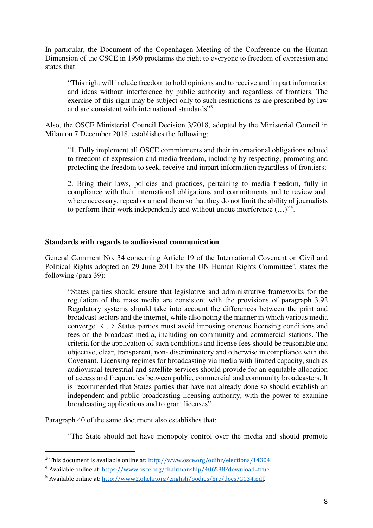In particular, the Document of the Copenhagen Meeting of the Conference on the Human Dimension of the CSCE in 1990 proclaims the right to everyone to freedom of expression and states that:

"This right will include freedom to hold opinions and to receive and impart information and ideas without interference by public authority and regardless of frontiers. The exercise of this right may be subject only to such restrictions as are prescribed by law and are consistent with international standards"<sup>3</sup>.

Also, the OSCE Ministerial Council Decision 3/2018, adopted by the Ministerial Council in Milan on 7 December 2018, establishes the following:

"1. Fully implement all OSCE commitments and their international obligations related to freedom of expression and media freedom, including by respecting, promoting and protecting the freedom to seek, receive and impart information regardless of frontiers;

2. Bring their laws, policies and practices, pertaining to media freedom, fully in compliance with their international obligations and commitments and to review and, where necessary, repeal or amend them so that they do not limit the ability of journalists to perform their work independently and without undue interference  $(\ldots)^{4}$ .

#### **Standards with regards to audiovisual communication**

General Comment No. 34 concerning Article 19 of the International Covenant on Civil and Political Rights adopted on 29 June 2011 by the UN Human Rights Committee<sup>5</sup>, states the following (para 39):

"States parties should ensure that legislative and administrative frameworks for the regulation of the mass media are consistent with the provisions of paragraph 3.92 Regulatory systems should take into account the differences between the print and broadcast sectors and the internet, while also noting the manner in which various media converge. <…> States parties must avoid imposing onerous licensing conditions and fees on the broadcast media, including on community and commercial stations. The criteria for the application of such conditions and license fees should be reasonable and objective, clear, transparent, non- discriminatory and otherwise in compliance with the Covenant. Licensing regimes for broadcasting via media with limited capacity, such as audiovisual terrestrial and satellite services should provide for an equitable allocation of access and frequencies between public, commercial and community broadcasters. It is recommended that States parties that have not already done so should establish an independent and public broadcasting licensing authority, with the power to examine broadcasting applications and to grant licenses".

Paragraph 40 of the same document also establishes that:

l

"The State should not have monopoly control over the media and should promote

<sup>3</sup> This document is available online at: http://www.osce.org/odihr/elections/14304.

<sup>4</sup> Available online at: https://www.osce.org/chairmanship/406538?download=true

<sup>5</sup> Available online at: http://www2.ohchr.org/english/bodies/hrc/docs/GC34.pdf.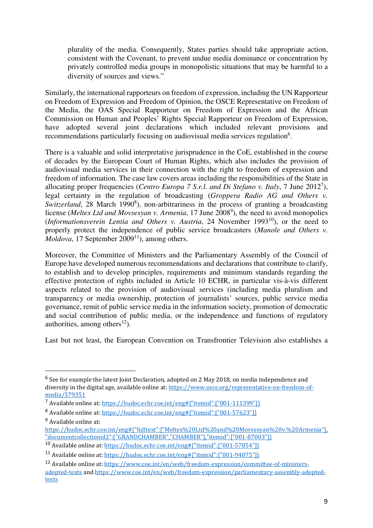plurality of the media. Consequently, States parties should take appropriate action, consistent with the Covenant, to prevent undue media dominance or concentration by privately controlled media groups in monopolistic situations that may be harmful to a diversity of sources and views."

Similarly, the international rapporteurs on freedom of expression, including the UN Rapporteur on Freedom of Expression and Freedom of Opinion, the OSCE Representative on Freedom of the Media, the OAS Special Rapporteur on Freedom of Expression and the African Commission on Human and Peoples' Rights Special Rapporteur on Freedom of Expression, have adopted several joint declarations which included relevant provisions and recommendations particularly focusing on audiovisual media services regulation<sup>6</sup>.

There is a valuable and solid interpretative jurisprudence in the CoE, established in the course of decades by the European Court of Human Rights, which also includes the provision of audiovisual media services in their connection with the right to freedom of expression and freedom of information. The case law covers areas including the responsibilities of the State in allocating proper frequencies (*Centro Europa 7 S.r.l. and Di Stefano v. Italy*, 7 June 2012<sup>7</sup>), legal certainty in the regulation of broadcasting (*Groppera Radio AG and Others v.*  Switzerland, 28 March 1990<sup>8</sup>), non-arbitrariness in the process of granting a broadcasting license (*Meltex Ltd and Movsesyan v. Armenia*, 17 June 2008<sup>9</sup>), the need to avoid monopolies  $$ properly protect the independence of public service broadcasters (*Manole and Others v. Moldova*, 17 September 2009<sup>11</sup>), among others.

Moreover, the Committee of Ministers and the Parliamentary Assembly of the Council of Europe have developed numerous recommendations and declarations that contribute to clarify, to establish and to develop principles, requirements and minimum standards regarding the effective protection of rights included in Article 10 ECHR, in particular vis-à-vis different aspects related to the provision of audiovisual services (including media pluralism and transparency or media ownership, protection of journalists' sources, public service media governance, remit of public service media in the information society, promotion of democratic and social contribution of public media, or the independence and functions of regulatory authorities, among others $^{12}$ ).

Last but not least, the European Convention on Transfrontier Television also establishes a

l

<sup>&</sup>lt;sup>6</sup> See for example the latest Joint Declaration, adopted on 2 May 2018, on media independence and diversity in the digital age, available online at: https://www.osce.org/representative-on-freedom-ofmedia/379351

<sup>7</sup> Available online at: https://hudoc.echr.coe.int/eng#{"itemid":["001-111399"]}

<sup>8</sup> Available online at: https://hudoc.echr.coe.int/eng#{"itemid":["001-57623"]}

<sup>9</sup> Available online at:

https://hudoc.echr.coe.int/eng#{"fulltext":["Meltex%20Ltd%20and%20Movsesyan%20v.%20Armenia"], "documentcollectionid2":["GRANDCHAMBER","CHAMBER"],"itemid":["001-87003"]}

<sup>10</sup> Available online at: https://hudoc.echr.coe.int/eng#{"itemid":["001-57854"]}

<sup>11</sup> Available online at: https://hudoc.echr.coe.int/eng#{"itemid":["001-94075"]}

<sup>12</sup> Available online at: https://www.coe.int/en/web/freedom-expression/committee-of-ministersadopted-texts and https://www.coe.int/en/web/freedom-expression/parliamentary-assembly-adoptedtexts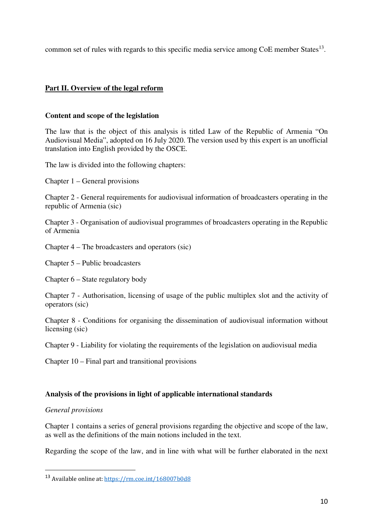common set of rules with regards to this specific media service among  $\text{CoE}$  member States<sup>13</sup>.

## **Part II. Overview of the legal reform**

#### **Content and scope of the legislation**

The law that is the object of this analysis is titled Law of the Republic of Armenia "On Audiovisual Media", adopted on 16 July 2020. The version used by this expert is an unofficial translation into English provided by the OSCE.

The law is divided into the following chapters:

Chapter 1 – General provisions

Chapter 2 - General requirements for audiovisual information of broadcasters operating in the republic of Armenia (sic)

Chapter 3 - Organisation of audiovisual programmes of broadcasters operating in the Republic of Armenia

Chapter 4 – The broadcasters and operators (sic)

Chapter 5 – Public broadcasters

Chapter 6 – State regulatory body

Chapter 7 - Authorisation, licensing of usage of the public multiplex slot and the activity of operators (sic)

Chapter 8 - Conditions for organising the dissemination of audiovisual information without licensing (sic)

Chapter 9 - Liability for violating the requirements of the legislation on audiovisual media

Chapter 10 – Final part and transitional provisions

#### **Analysis of the provisions in light of applicable international standards**

*General provisions* 

l

Chapter 1 contains a series of general provisions regarding the objective and scope of the law, as well as the definitions of the main notions included in the text.

Regarding the scope of the law, and in line with what will be further elaborated in the next

<sup>13</sup> Available online at: https://rm.coe.int/168007b0d8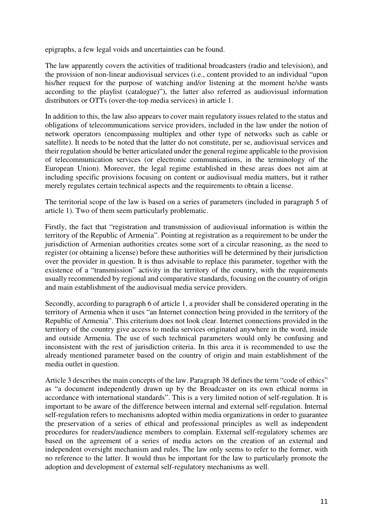epigraphs, a few legal voids and uncertainties can be found.

The law apparently covers the activities of traditional broadcasters (radio and television), and the provision of non-linear audiovisual services (i.e., content provided to an individual "upon his/her request for the purpose of watching and/or listening at the moment he/she wants according to the playlist (catalogue)"), the latter also referred as audiovisual information distributors or OTTs (over-the-top media services) in article 1.

In addition to this, the law also appears to cover main regulatory issues related to the status and obligations of telecommunications service providers, included in the law under the notion of network operators (encompassing multiplex and other type of networks such as cable or satellite). It needs to be noted that the latter do not constitute, per se, audiovisual services and their regulation should be better articulated under the general regime applicable to the provision of telecommunication services (or electronic communications, in the terminology of the European Union). Moreover, the legal regime established in these areas does not aim at including specific provisions focusing on content or audiovisual media matters, but it rather merely regulates certain technical aspects and the requirements to obtain a license.

The territorial scope of the law is based on a series of parameters (included in paragraph 5 of article 1). Two of them seem particularly problematic.

Firstly, the fact that "registration and transmission of audiovisual information is within the territory of the Republic of Armenia". Pointing at registration as a requirement to be under the jurisdiction of Armenian authorities creates some sort of a circular reasoning, as the need to register (or obtaining a license) before these authorities will be determined by their jurisdiction over the provider in question. It is thus advisable to replace this parameter, together with the existence of a "transmission" activity in the territory of the country, with the requirements usually recommended by regional and comparative standards, focusing on the country of origin and main establishment of the audiovisual media service providers.

Secondly, according to paragraph 6 of article 1, a provider shall be considered operating in the territory of Armenia when it uses "an Internet connection being provided in the territory of the Republic of Armenia". This criterium does not look clear. Internet connections provided in the territory of the country give access to media services originated anywhere in the word, inside and outside Armenia. The use of such technical parameters would only be confusing and inconsistent with the rest of jurisdiction criteria. In this area it is recommended to use the already mentioned parameter based on the country of origin and main establishment of the media outlet in question.

Article 3 describes the main concepts of the law. Paragraph 38 defines the term "code of ethics" as "a document independently drawn up by the Broadcaster on its own ethical norms in accordance with international standards". This is a very limited notion of self-regulation. It is important to be aware of the difference between internal and external self-regulation. Internal self-regulation refers to mechanisms adopted within media organizations in order to guarantee the preservation of a series of ethical and professional principles as well as independent procedures for readers/audience members to complain. External self-regulatory schemes are based on the agreement of a series of media actors on the creation of an external and independent oversight mechanism and rules. The law only seems to refer to the former, with no reference to the latter. It would thus be important for the law to particularly promote the adoption and development of external self-regulatory mechanisms as well.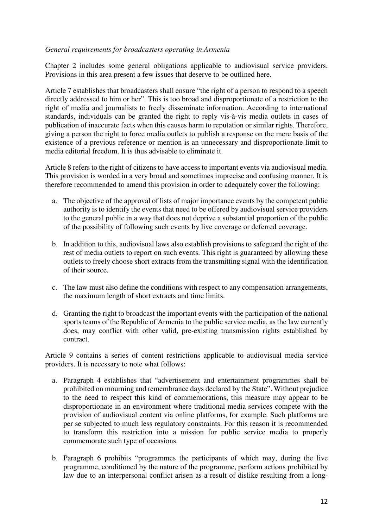### *General requirements for broadcasters operating in Armenia*

Chapter 2 includes some general obligations applicable to audiovisual service providers. Provisions in this area present a few issues that deserve to be outlined here.

Article 7 establishes that broadcasters shall ensure "the right of a person to respond to a speech directly addressed to him or her". This is too broad and disproportionate of a restriction to the right of media and journalists to freely disseminate information. According to international standards, individuals can be granted the right to reply vis-à-vis media outlets in cases of publication of inaccurate facts when this causes harm to reputation or similar rights. Therefore, giving a person the right to force media outlets to publish a response on the mere basis of the existence of a previous reference or mention is an unnecessary and disproportionate limit to media editorial freedom. It is thus advisable to eliminate it.

Article 8 refers to the right of citizens to have access to important events via audiovisual media. This provision is worded in a very broad and sometimes imprecise and confusing manner. It is therefore recommended to amend this provision in order to adequately cover the following:

- a. The objective of the approval of lists of major importance events by the competent public authority is to identify the events that need to be offered by audiovisual service providers to the general public in a way that does not deprive a substantial proportion of the public of the possibility of following such events by live coverage or deferred coverage.
- b. In addition to this, audiovisual laws also establish provisions to safeguard the right of the rest of media outlets to report on such events. This right is guaranteed by allowing these outlets to freely choose short extracts from the transmitting signal with the identification of their source.
- c. The law must also define the conditions with respect to any compensation arrangements, the maximum length of short extracts and time limits.
- d. Granting the right to broadcast the important events with the participation of the national sports teams of the Republic of Armenia to the public service media, as the law currently does, may conflict with other valid, pre-existing transmission rights established by contract.

Article 9 contains a series of content restrictions applicable to audiovisual media service providers. It is necessary to note what follows:

- a. Paragraph 4 establishes that "advertisement and entertainment programmes shall be prohibited on mourning and remembrance days declared by the State". Without prejudice to the need to respect this kind of commemorations, this measure may appear to be disproportionate in an environment where traditional media services compete with the provision of audiovisual content via online platforms, for example. Such platforms are per se subjected to much less regulatory constraints. For this reason it is recommended to transform this restriction into a mission for public service media to properly commemorate such type of occasions.
- b. Paragraph 6 prohibits "programmes the participants of which may, during the live programme, conditioned by the nature of the programme, perform actions prohibited by law due to an interpersonal conflict arisen as a result of dislike resulting from a long-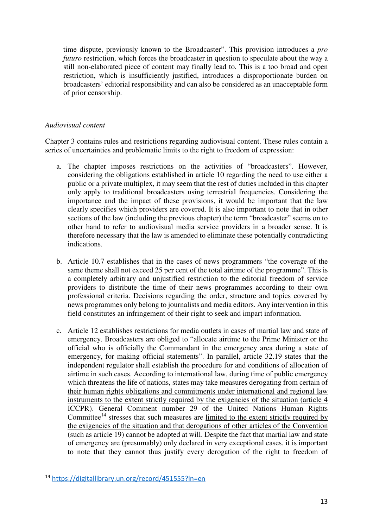time dispute, previously known to the Broadcaster". This provision introduces a *pro futuro* restriction, which forces the broadcaster in question to speculate about the way a still non-elaborated piece of content may finally lead to. This is a too broad and open restriction, which is insufficiently justified, introduces a disproportionate burden on broadcasters' editorial responsibility and can also be considered as an unacceptable form of prior censorship.

### *Audiovisual content*

Chapter 3 contains rules and restrictions regarding audiovisual content. These rules contain a series of uncertainties and problematic limits to the right to freedom of expression:

- a. The chapter imposes restrictions on the activities of "broadcasters". However, considering the obligations established in article 10 regarding the need to use either a public or a private multiplex, it may seem that the rest of duties included in this chapter only apply to traditional broadcasters using terrestrial frequencies. Considering the importance and the impact of these provisions, it would be important that the law clearly specifies which providers are covered. It is also important to note that in other sections of the law (including the previous chapter) the term "broadcaster" seems on to other hand to refer to audiovisual media service providers in a broader sense. It is therefore necessary that the law is amended to eliminate these potentially contradicting indications.
- b. Article 10.7 establishes that in the cases of news programmers "the coverage of the same theme shall not exceed 25 per cent of the total airtime of the programme". This is a completely arbitrary and unjustified restriction to the editorial freedom of service providers to distribute the time of their news programmes according to their own professional criteria. Decisions regarding the order, structure and topics covered by news programmes only belong to journalists and media editors. Any intervention in this field constitutes an infringement of their right to seek and impart information.
- c. Article 12 establishes restrictions for media outlets in cases of martial law and state of emergency. Broadcasters are obliged to "allocate airtime to the Prime Minister or the official who is officially the Commandant in the emergency area during a state of emergency, for making official statements". In parallel, article 32.19 states that the independent regulator shall establish the procedure for and conditions of allocation of airtime in such cases. According to international law, during time of public emergency which threatens the life of nations, states may take measures derogating from certain of their human rights obligations and commitments under international and regional law instruments to the extent strictly required by the exigencies of the situation (article 4 ICCPR). General Comment number 29 of the United Nations Human Rights Committee<sup>14</sup> stresses that such measures are limited to the extent strictly required by the exigencies of the situation and that derogations of other articles of the Convention (such as article 19) cannot be adopted at will. Despite the fact that martial law and state of emergency are (presumably) only declared in very exceptional cases, it is important to note that they cannot thus justify every derogation of the right to freedom of

l

<sup>14</sup> https://digitallibrary.un.org/record/451555?ln=en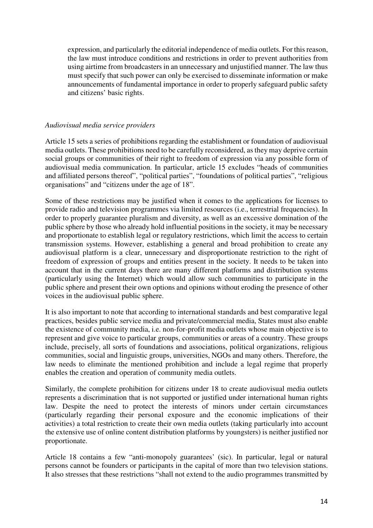expression, and particularly the editorial independence of media outlets. For this reason, the law must introduce conditions and restrictions in order to prevent authorities from using airtime from broadcasters in an unnecessary and unjustified manner. The law thus must specify that such power can only be exercised to disseminate information or make announcements of fundamental importance in order to properly safeguard public safety and citizens' basic rights.

#### *Audiovisual media service providers*

Article 15 sets a series of prohibitions regarding the establishment or foundation of audiovisual media outlets. These prohibitions need to be carefully reconsidered, as they may deprive certain social groups or communities of their right to freedom of expression via any possible form of audiovisual media communication. In particular, article 15 excludes "heads of communities and affiliated persons thereof", "political parties", "foundations of political parties", "religious organisations" and "citizens under the age of 18".

Some of these restrictions may be justified when it comes to the applications for licenses to provide radio and television programmes via limited resources (i.e., terrestrial frequencies). In order to properly guarantee pluralism and diversity, as well as an excessive domination of the public sphere by those who already hold influential positions in the society, it may be necessary and proportionate to establish legal or regulatory restrictions, which limit the access to certain transmission systems. However, establishing a general and broad prohibition to create any audiovisual platform is a clear, unnecessary and disproportionate restriction to the right of freedom of expression of groups and entities present in the society. It needs to be taken into account that in the current days there are many different platforms and distribution systems (particularly using the Internet) which would allow such communities to participate in the public sphere and present their own options and opinions without eroding the presence of other voices in the audiovisual public sphere.

It is also important to note that according to international standards and best comparative legal practices, besides public service media and private/commercial media, States must also enable the existence of community media, i.e. non-for-profit media outlets whose main objective is to represent and give voice to particular groups, communities or areas of a country. These groups include, precisely, all sorts of foundations and associations, political organizations, religious communities, social and linguistic groups, universities, NGOs and many others. Therefore, the law needs to eliminate the mentioned prohibition and include a legal regime that properly enables the creation and operation of community media outlets.

Similarly, the complete prohibition for citizens under 18 to create audiovisual media outlets represents a discrimination that is not supported or justified under international human rights law. Despite the need to protect the interests of minors under certain circumstances (particularly regarding their personal exposure and the economic implications of their activities) a total restriction to create their own media outlets (taking particularly into account the extensive use of online content distribution platforms by youngsters) is neither justified nor proportionate.

Article 18 contains a few "anti-monopoly guarantees' (sic). In particular, legal or natural persons cannot be founders or participants in the capital of more than two television stations. It also stresses that these restrictions "shall not extend to the audio programmes transmitted by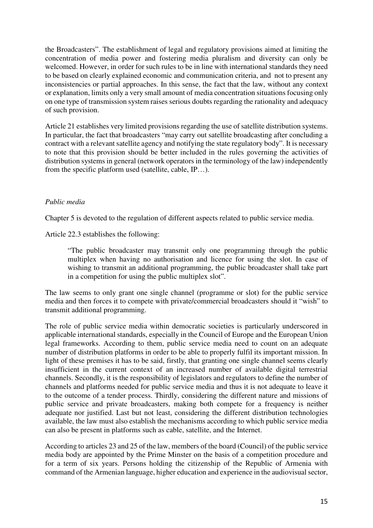the Broadcasters". The establishment of legal and regulatory provisions aimed at limiting the concentration of media power and fostering media pluralism and diversity can only be welcomed. However, in order for such rules to be in line with international standards they need to be based on clearly explained economic and communication criteria, and not to present any inconsistencies or partial approaches. In this sense, the fact that the law, without any context or explanation, limits only a very small amount of media concentration situations focusing only on one type of transmission system raises serious doubts regarding the rationality and adequacy of such provision.

Article 21 establishes very limited provisions regarding the use of satellite distribution systems. In particular, the fact that broadcasters "may carry out satellite broadcasting after concluding a contract with a relevant satellite agency and notifying the state regulatory body". It is necessary to note that this provision should be better included in the rules governing the activities of distribution systems in general (network operators in the terminology of the law) independently from the specific platform used (satellite, cable, IP…).

## *Public media*

Chapter 5 is devoted to the regulation of different aspects related to public service media.

Article 22.3 establishes the following:

"The public broadcaster may transmit only one programming through the public multiplex when having no authorisation and licence for using the slot. In case of wishing to transmit an additional programming, the public broadcaster shall take part in a competition for using the public multiplex slot".

The law seems to only grant one single channel (programme or slot) for the public service media and then forces it to compete with private/commercial broadcasters should it "wish" to transmit additional programming.

The role of public service media within democratic societies is particularly underscored in applicable international standards, especially in the Council of Europe and the European Union legal frameworks. According to them, public service media need to count on an adequate number of distribution platforms in order to be able to properly fulfil its important mission. In light of these premises it has to be said, firstly, that granting one single channel seems clearly insufficient in the current context of an increased number of available digital terrestrial channels. Secondly, it is the responsibility of legislators and regulators to define the number of channels and platforms needed for public service media and thus it is not adequate to leave it to the outcome of a tender process. Thirdly, considering the different nature and missions of public service and private broadcasters, making both compete for a frequency is neither adequate nor justified. Last but not least, considering the different distribution technologies available, the law must also establish the mechanisms according to which public service media can also be present in platforms such as cable, satellite, and the Internet.

According to articles 23 and 25 of the law, members of the board (Council) of the public service media body are appointed by the Prime Minster on the basis of a competition procedure and for a term of six years. Persons holding the citizenship of the Republic of Armenia with command of the Armenian language, higher education and experience in the audiovisual sector,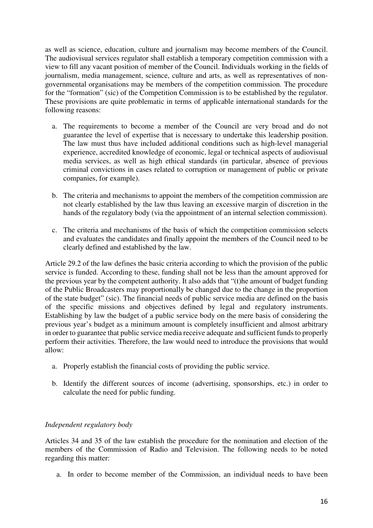as well as science, education, culture and journalism may become members of the Council. The audiovisual services regulator shall establish a temporary competition commission with a view to fill any vacant position of member of the Council. Individuals working in the fields of journalism, media management, science, culture and arts, as well as representatives of nongovernmental organisations may be members of the competition commission. The procedure for the "formation" (sic) of the Competition Commission is to be established by the regulator. These provisions are quite problematic in terms of applicable international standards for the following reasons:

- a. The requirements to become a member of the Council are very broad and do not guarantee the level of expertise that is necessary to undertake this leadership position. The law must thus have included additional conditions such as high-level managerial experience, accredited knowledge of economic, legal or technical aspects of audiovisual media services, as well as high ethical standards (in particular, absence of previous criminal convictions in cases related to corruption or management of public or private companies, for example).
- b. The criteria and mechanisms to appoint the members of the competition commission are not clearly established by the law thus leaving an excessive margin of discretion in the hands of the regulatory body (via the appointment of an internal selection commission).
- c. The criteria and mechanisms of the basis of which the competition commission selects and evaluates the candidates and finally appoint the members of the Council need to be clearly defined and established by the law.

Article 29.2 of the law defines the basic criteria according to which the provision of the public service is funded. According to these, funding shall not be less than the amount approved for the previous year by the competent authority. It also adds that "(t)he amount of budget funding of the Public Broadcasters may proportionally be changed due to the change in the proportion of the state budget" (sic). The financial needs of public service media are defined on the basis of the specific missions and objectives defined by legal and regulatory instruments. Establishing by law the budget of a public service body on the mere basis of considering the previous year's budget as a minimum amount is completely insufficient and almost arbitrary in order to guarantee that public service media receive adequate and sufficient funds to properly perform their activities. Therefore, the law would need to introduce the provisions that would allow:

- a. Properly establish the financial costs of providing the public service.
- b. Identify the different sources of income (advertising, sponsorships, etc.) in order to calculate the need for public funding.

## *Independent regulatory body*

Articles 34 and 35 of the law establish the procedure for the nomination and election of the members of the Commission of Radio and Television. The following needs to be noted regarding this matter:

a. In order to become member of the Commission, an individual needs to have been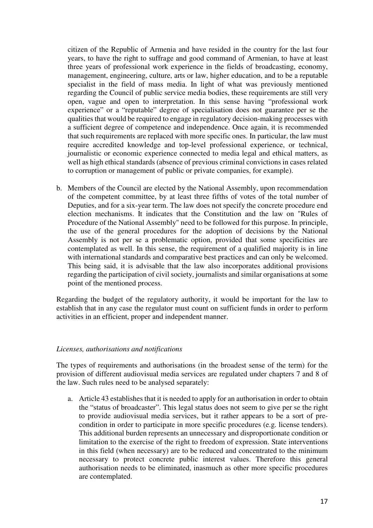citizen of the Republic of Armenia and have resided in the country for the last four years, to have the right to suffrage and good command of Armenian, to have at least three years of professional work experience in the fields of broadcasting, economy, management, engineering, culture, arts or law, higher education, and to be a reputable specialist in the field of mass media. In light of what was previously mentioned regarding the Council of public service media bodies, these requirements are still very open, vague and open to interpretation. In this sense having "professional work experience" or a "reputable" degree of specialisation does not guarantee per se the qualities that would be required to engage in regulatory decision-making processes with a sufficient degree of competence and independence. Once again, it is recommended that such requirements are replaced with more specific ones. In particular, the law must require accredited knowledge and top-level professional experience, or technical, journalistic or economic experience connected to media legal and ethical matters, as well as high ethical standards (absence of previous criminal convictions in cases related to corruption or management of public or private companies, for example).

b. Members of the Council are elected by the National Assembly, upon recommendation of the competent committee, by at least three fifths of votes of the total number of Deputies, and for a six-year term. The law does not specify the concrete procedure end election mechanisms. It indicates that the Constitution and the law on "Rules of Procedure of the National Assembly" need to be followed for this purpose. In principle, the use of the general procedures for the adoption of decisions by the National Assembly is not per se a problematic option, provided that some specificities are contemplated as well. In this sense, the requirement of a qualified majority is in line with international standards and comparative best practices and can only be welcomed. This being said, it is advisable that the law also incorporates additional provisions regarding the participation of civil society, journalists and similar organisations at some point of the mentioned process.

Regarding the budget of the regulatory authority, it would be important for the law to establish that in any case the regulator must count on sufficient funds in order to perform activities in an efficient, proper and independent manner.

#### *Licenses, authorisations and notifications*

The types of requirements and authorisations (in the broadest sense of the term) for the provision of different audiovisual media services are regulated under chapters 7 and 8 of the law. Such rules need to be analysed separately:

a. Article 43 establishes that it is needed to apply for an authorisation in order to obtain the "status of broadcaster". This legal status does not seem to give per se the right to provide audiovisual media services, but it rather appears to be a sort of precondition in order to participate in more specific procedures (e.g. license tenders). This additional burden represents an unnecessary and disproportionate condition or limitation to the exercise of the right to freedom of expression. State interventions in this field (when necessary) are to be reduced and concentrated to the minimum necessary to protect concrete public interest values. Therefore this general authorisation needs to be eliminated, inasmuch as other more specific procedures are contemplated.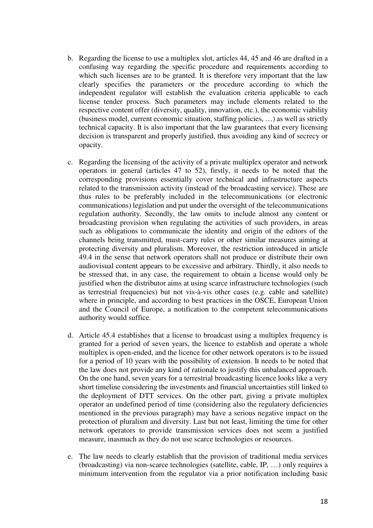- b. Regarding the license to use a multiplex slot, articles 44, 45 and 46 are drafted in a confusing way regarding the specific procedure and requirements according to which such licenses are to be granted. It is therefore very important that the law clearly specifies the parameters or the procedure according to which the independent regulator will establish the evaluation criteria applicable to each license tender process. Such parameters may include elements related to the respective content offer (diversity, quality, innovation, etc.), the economic viability (business model, current economic situation, staffing policies, …) as well as strictly technical capacity. It is also important that the law guarantees that every licensing decision is transparent and properly justified, thus avoiding any kind of secrecy or opacity.
- c. Regarding the licensing of the activity of a private multiplex operator and network operators in general (articles 47 to 52), firstly, it needs to be noted that the corresponding provisions essentially cover technical and infrastructure aspects related to the transmission activity (instead of the broadcasting service). These are thus rules to be preferably included in the telecommunications (or electronic communications) legislation and put under the oversight of the telecommunications regulation authority. Secondly, the law omits to include almost any content or broadcasting provision when regulating the activities of such providers, in areas such as obligations to communicate the identity and origin of the editors of the channels being transmitted, must-carry rules or other similar measures aiming at protecting diversity and pluralism. Moreover, the restriction introduced in article 49.4 in the sense that network operators shall not produce or distribute their own audiovisual content appears to be excessive and arbitrary. Thirdly, it also needs to be stressed that, in any case, the requirement to obtain a license would only be justified when the distributor aims at using scarce infrastructure technologies (such as terrestrial frequencies) but not vis-à-vis other cases (e.g. cable and satellite) where in principle, and according to best practices in the OSCE, European Union and the Council of Europe, a notification to the competent telecommunications authority would suffice.
- d. Article 45.4 establishes that a license to broadcast using a multiplex frequency is granted for a period of seven years, the licence to establish and operate a whole multiplex is open-ended, and the licence for other network operators is to be issued for a period of 10 years with the possibility of extension. It needs to be noted that the law does not provide any kind of rationale to justify this unbalanced approach. On the one hand, seven years for a terrestrial broadcasting licence looks like a very short timeline considering the investments and financial uncertainties still linked to the deployment of DTT services. On the other part, giving a private multiplex operator an undefined period of time (considering also the regulatory deficiencies mentioned in the previous paragraph) may have a serious negative impact on the protection of pluralism and diversity. Last but not least, limiting the time for other network operators to provide transmission services does not seem a justified measure, inasmuch as they do not use scarce technologies or resources.
- e. The law needs to clearly establish that the provision of traditional media services (broadcasting) via non-scarce technologies (satellite, cable, IP, …) only requires a minimum intervention from the regulator via a prior notification including basic